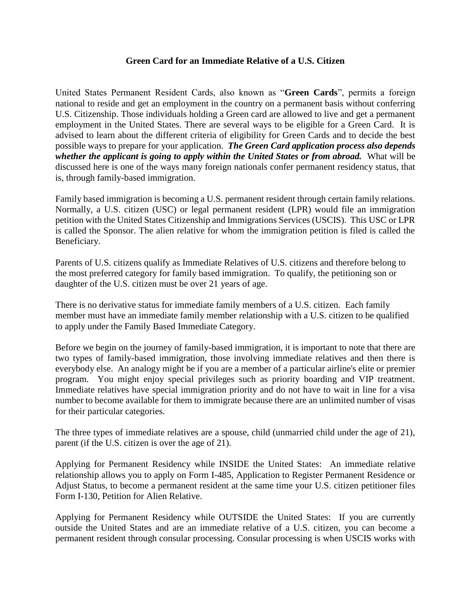## **Green Card for an Immediate Relative of a U.S. Citizen**

United States Permanent Resident Cards, also known as "**Green Cards**", permits a foreign national to reside and get an employment in the country on a permanent basis without conferring U.S. Citizenship. Those individuals holding a Green card are allowed to live and get a permanent employment in the United States. There are several ways to be eligible for a Green Card. It is advised to learn about the different criteria of eligibility for Green Cards and to decide the best possible ways to prepare for your application. *The Green Card application process also depends whether the applicant is going to apply within the United States or from abroad.* What will be discussed here is one of the ways many foreign nationals confer permanent residency status, that is, through family-based immigration.

Family based immigration is becoming a U.S. permanent resident through certain family relations. Normally, a U.S. citizen (USC) or legal permanent resident (LPR) would file an immigration petition with the United States Citizenship and Immigrations Services (USCIS). This USC or LPR is called the Sponsor. The alien relative for whom the immigration petition is filed is called the Beneficiary.

Parents of U.S. citizens qualify as Immediate Relatives of U.S. citizens and therefore belong to the most preferred category for family based immigration. To qualify, the petitioning son or daughter of the U.S. citizen must be over 21 years of age.

There is no derivative status for immediate family members of a U.S. citizen. Each family member must have an immediate family member relationship with a U.S. citizen to be qualified to apply under the Family Based Immediate Category.

Before we begin on the journey of family-based immigration, it is important to note that there are two types of family-based immigration, those involving immediate relatives and then there is everybody else. An analogy might be if you are a member of a particular airline's elite or premier program. You might enjoy special privileges such as priority boarding and VIP treatment. Immediate relatives have special immigration priority and do not have to wait in line for a visa number to become available for them to immigrate because there are an unlimited number of visas for their particular categories.

The three types of immediate relatives are a spouse, child (unmarried child under the age of 21), parent (if the U.S. citizen is over the age of 21).

Applying for Permanent Residency while INSIDE the United States:An immediate relative relationship allows you to apply on Form I-485, Application to Register Permanent Residence or Adjust Status, to become a permanent resident at the same time your U.S. citizen petitioner files Form I-130, Petition for Alien Relative.

Applying for Permanent Residency while OUTSIDE the United States: If you are currently outside the United States and are an immediate relative of a U.S. citizen, you can become a permanent resident through consular processing. Consular processing is when USCIS works with